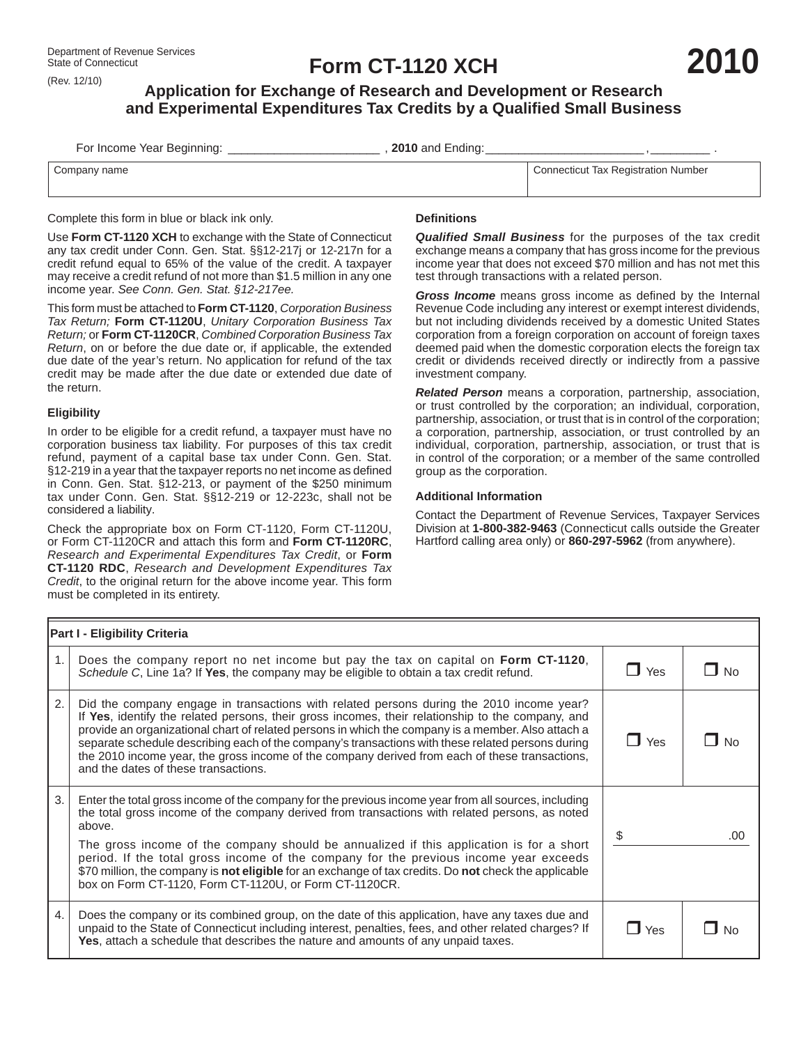(Rev. 12/10)

# **Form CT-1120 XCH**

# **Application for Exchange of Research and Development or Research and Experimental Expenditures Tax Credits by a Qualifi ed Small Business**

| For Income Year Beginning: | , 2010 and Ending: |                                     |
|----------------------------|--------------------|-------------------------------------|
| Company name               |                    | Connecticut Tax Registration Number |

Complete this form in blue or black ink only.

Use **Form CT-1120 XCH** to exchange with the State of Connecticut any tax credit under Conn. Gen. Stat. §§12-217j or 12-217n for a credit refund equal to 65% of the value of the credit. A taxpayer may receive a credit refund of not more than \$1.5 million in any one income year. *See Conn. Gen. Stat. §12-217ee.*

This form must be attached to **Form CT-1120**, *Corporation Business Tax Return;* **Form CT-1120U**, *Unitary Corporation Business Tax Return;* or **Form CT-1120CR**, *Combined Corporation Business Tax Return*, on or before the due date or, if applicable, the extended due date of the year's return. No application for refund of the tax credit may be made after the due date or extended due date of the return.

### **Eligibility**

In order to be eligible for a credit refund, a taxpayer must have no corporation business tax liability. For purposes of this tax credit refund, payment of a capital base tax under Conn. Gen. Stat. §12-219 in a year that the taxpayer reports no net income as defined in Conn. Gen. Stat. §12-213, or payment of the \$250 minimum tax under Conn. Gen. Stat. §§12-219 or 12-223c, shall not be considered a liability.

Check the appropriate box on Form CT-1120, Form CT-1120U, or Form CT-1120CR and attach this form and **Form CT-1120RC**, *Research and Experimental Expenditures Tax Credit*, or **Form CT-1120 RDC**, *Research and Development Expenditures Tax Credit*, to the original return for the above income year. This form must be completed in its entirety.

## **Defi nitions**

*Qualified Small Business* for the purposes of the tax credit exchange means a company that has gross income for the previous income year that does not exceed \$70 million and has not met this test through transactions with a related person.

**2010**

Gross Income means gross income as defined by the Internal Revenue Code including any interest or exempt interest dividends, but not including dividends received by a domestic United States corporation from a foreign corporation on account of foreign taxes deemed paid when the domestic corporation elects the foreign tax credit or dividends received directly or indirectly from a passive investment company.

*Related Person* means a corporation, partnership, association, or trust controlled by the corporation; an individual, corporation, partnership, association, or trust that is in control of the corporation; a corporation, partnership, association, or trust controlled by an individual, corporation, partnership, association, or trust that is in control of the corporation; or a member of the same controlled group as the corporation.

#### **Additional Information**

Contact the Department of Revenue Services, Taxpayer Services Division at **1-800-382-9463** (Connecticut calls outside the Greater Hartford calling area only) or **860-297-5962** (from anywhere).

| <b>Part I - Eligibility Criteria</b> |                                                                                                                                                                                                                                                                                                                                                                                                                                                                                                                                                                         |                    |         |  |  |
|--------------------------------------|-------------------------------------------------------------------------------------------------------------------------------------------------------------------------------------------------------------------------------------------------------------------------------------------------------------------------------------------------------------------------------------------------------------------------------------------------------------------------------------------------------------------------------------------------------------------------|--------------------|---------|--|--|
| 1.                                   | Does the company report no net income but pay the tax on capital on Form CT-1120,<br>Schedule C, Line 1a? If Yes, the company may be eligible to obtain a tax credit refund.                                                                                                                                                                                                                                                                                                                                                                                            | $\blacksquare$ Yes | l I No  |  |  |
| 2.                                   | Did the company engage in transactions with related persons during the 2010 income year?<br>If Yes, identify the related persons, their gross incomes, their relationship to the company, and<br>provide an organizational chart of related persons in which the company is a member. Also attach a<br>separate schedule describing each of the company's transactions with these related persons during<br>the 2010 income year, the gross income of the company derived from each of these transactions,<br>and the dates of these transactions.                      | ∣ I Yes            | ∣ II No |  |  |
| 3.                                   | Enter the total gross income of the company for the previous income year from all sources, including<br>the total gross income of the company derived from transactions with related persons, as noted<br>above.<br>The gross income of the company should be annualized if this application is for a short<br>period. If the total gross income of the company for the previous income year exceeds<br>\$70 million, the company is not eligible for an exchange of tax credits. Do not check the applicable<br>box on Form CT-1120, Form CT-1120U, or Form CT-1120CR. | \$                 | .00     |  |  |
| 4.                                   | Does the company or its combined group, on the date of this application, have any taxes due and<br>unpaid to the State of Connecticut including interest, penalties, fees, and other related charges? If<br>Yes, attach a schedule that describes the nature and amounts of any unpaid taxes.                                                                                                                                                                                                                                                                           | $\Box$ Yes         | No      |  |  |